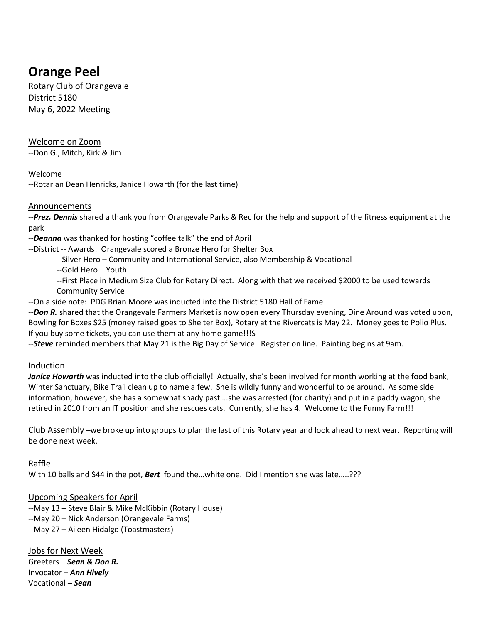# **Orange Peel**

Rotary Club of Orangevale District 5180 May 6, 2022 Meeting

## Welcome on Zoom

--Don G., Mitch, Kirk & Jim

## Welcome

--Rotarian Dean Henricks, Janice Howarth (for the last time)

### Announcements

--*Prez. Dennis* shared a thank you from Orangevale Parks & Rec for the help and support of the fitness equipment at the park

--*Deanna* was thanked for hosting "coffee talk" the end of April

--District -- Awards! Orangevale scored a Bronze Hero for Shelter Box

--Silver Hero – Community and International Service, also Membership & Vocational

--Gold Hero – Youth

--First Place in Medium Size Club for Rotary Direct. Along with that we received \$2000 to be used towards Community Service

--On a side note: PDG Brian Moore was inducted into the District 5180 Hall of Fame

--*Don R.* shared that the Orangevale Farmers Market is now open every Thursday evening, Dine Around was voted upon, Bowling for Boxes \$25 (money raised goes to Shelter Box), Rotary at the Rivercats is May 22. Money goes to Polio Plus. If you buy some tickets, you can use them at any home game!!!S

--*Steve* reminded members that May 21 is the Big Day of Service. Register on line. Painting begins at 9am.

## Induction

*Janice Howarth* was inducted into the club officially! Actually, she's been involved for month working at the food bank, Winter Sanctuary, Bike Trail clean up to name a few. She is wildly funny and wonderful to be around. As some side information, however, she has a somewhat shady past….she was arrested (for charity) and put in a paddy wagon, she retired in 2010 from an IT position and she rescues cats. Currently, she has 4. Welcome to the Funny Farm!!!

Club Assembly -we broke up into groups to plan the last of this Rotary year and look ahead to next year. Reporting will be done next week.

#### Raffle

With 10 balls and \$44 in the pot, *Bert* found the…white one. Did I mention she was late…..???

#### Upcoming Speakers for April

--May 13 – Steve Blair & Mike McKibbin (Rotary House) --May 20 – Nick Anderson (Orangevale Farms) --May 27 – Aileen Hidalgo (Toastmasters)

Jobs for Next Week Greeters – *Sean & Don R.* Invocator – *Ann Hively* Vocational – *Sean*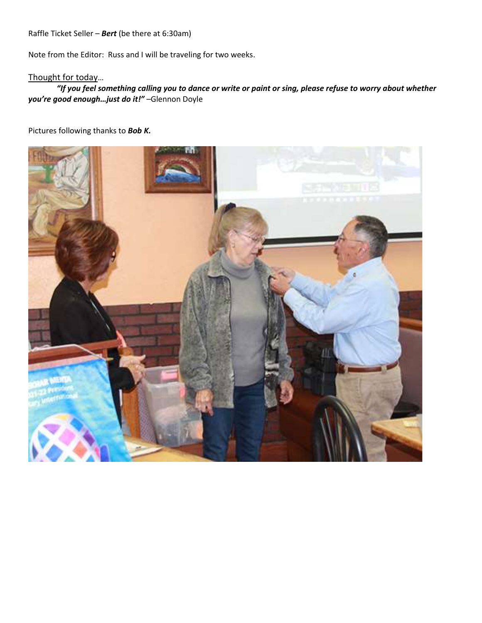Raffle Ticket Seller – *Bert* (be there at 6:30am)

Note from the Editor: Russ and I will be traveling for two weeks.

#### Thought for today…

*"If you feel something calling you to dance or write or paint or sing, please refuse to worry about whether you're good enough…just do it!"* –Glennon Doyle

Pictures following thanks to *Bob K.*

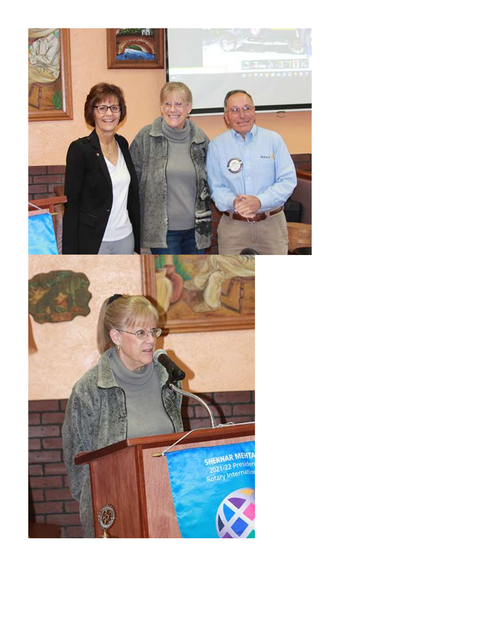